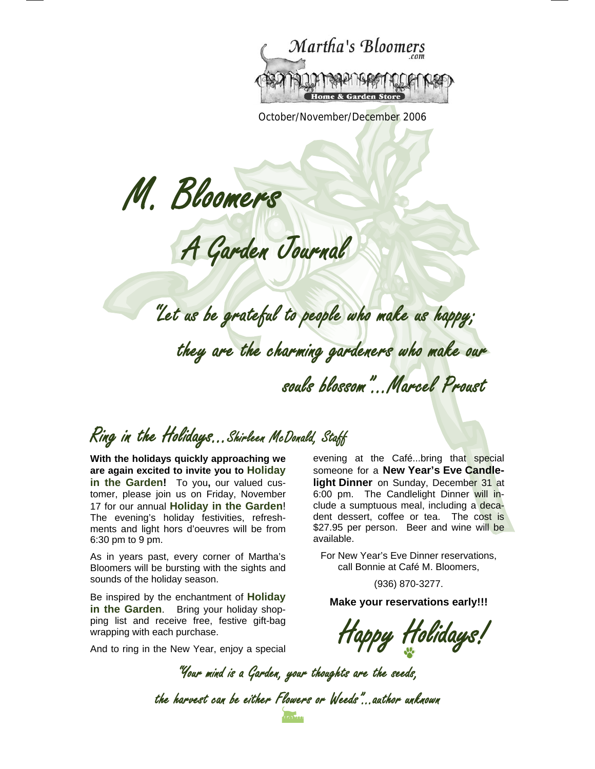

October/November/December 2006

M. Bloomers

A Garden Journal

"Let us be grateful to people who make us happy; they are the charming gardeners who make our souls blossom"...Marcel Proust

Ring in the Holidays...Shirleen McDonald, Staff

**With the holidays quickly approaching we are again excited to invite you to Holiday in the Garden!** To you**,** our valued customer, please join us on Friday, November 17 for our annual **Holiday in the Garden**! The evening's holiday festivities, refreshments and light hors d'oeuvres will be from 6:30 pm to 9 pm.

As in years past, every corner of Martha's Bloomers will be bursting with the sights and sounds of the holiday season.

Be inspired by the enchantment of **Holiday in the Garden**. Bring your holiday shopping list and receive free, festive gift-bag wrapping with each purchase.

And to ring in the New Year, enjoy a special

evening at the Café...bring that special someone for a **New Year's Eve Candlelight Dinner** on Sunday, December 31 at 6:00 pm. The Candlelight Dinner will include a sumptuous meal, including a decadent dessert, coffee or tea. The cost is \$27.95 per person. Beer and wine will be available.

For New Year's Eve Dinner reservations, call Bonnie at Café M. Bloomers,

(936) 870-3277.

**Make your reservations early!!!** 

Happy Holidays!

"Your mind is a Garden, your thoughts are the seeds,

the harvest can be either Flowers or Weeds"...author unknown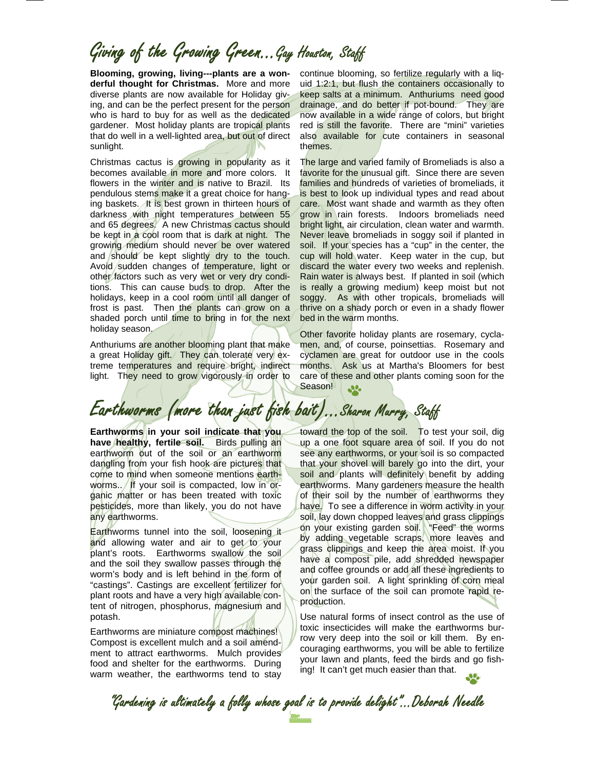# Giving of the Growing Green...Gay Houston, Staff

**Blooming, growing, living---plants are a wonderful thought for Christmas.** More and more diverse plants are now available for Holiday giving, and can be the perfect present for the person who is hard to buy for as well as the dedicated gardener. Most holiday plants are tropical plants that do well in a well-lighted area, but out of direct sunlight.

Christmas cactus is growing in popularity as it becomes available in more and more colors. It flowers in the winter and is native to Brazil. Its pendulous stems make it a great choice for hanging baskets. It is best grown in thirteen hours of darkness with night temperatures between 55 and 65 degrees. A new Christmas cactus should be kept in a cool room that is dark at night. The growing medium should never be over watered and should be kept slightly dry to the touch. Avoid sudden changes of temperature, light or other factors such as very wet or very dry conditions. This can cause buds to drop. After the holidays, keep in a cool room until all danger of frost is past. Then the plants can grow on a shaded porch until time to bring in for the next holiday season.

Anthuriums are another blooming plant that make a great Holiday gift. They can tolerate very extreme temperatures and require bright, indirect light. They need to grow vigorously in order to

continue blooming, so fertilize regularly with a liquid 1:2:1, but flush the containers occasionally to keep salts at a minimum. Anthuriums need good drainage, and do better if pot-bound. They are now available in a wide range of colors, but bright red is still the favorite. There are "mini" varieties also available for cute containers in seasonal themes.

The large and varied family of Bromeliads is also a favorite for the unusual gift. Since there are seven families and hundreds of varieties of bromeliads, it is best to look up individual types and read about care. Most want shade and warmth as they often grow in rain forests. Indoors bromeliads need bright light, air circulation, clean water and warmth. Never leave bromeliads in soggy soil if planted in soil. If your species has a "cup" in the center, the cup will hold water. Keep water in the cup, but discard the water every two weeks and replenish. Rain water is always best. If planted in soil (which is really a growing medium) keep moist but not soggy. As with other tropicals, bromeliads will thrive on a shady porch or even in a shady flower bed in the warm months.

Other favorite holiday plants are rosemary, cyclamen, and, of course, poinsettias. Rosemary and cyclamen are great for outdoor use in the cools months. Ask us at Martha's Bloomers for best care of these and other plants coming soon for the Season!

## Earthworms (more than just fish bait)...Sharon Murry, Staff

Earthworms in your soil indicate that you. **have healthy, fertile soil.** Birds pulling an earthworm out of the soil or an earthworm dangling from your fish hook are pictures that come to mind when someone mentions earthworms.. If your soil is compacted, low in organic matter or has been treated with toxic pesticides, more than likely, you do not have any earthworms.

Earthworms tunnel into the soil, loosening it and allowing water and air to get to your plant's roots. Earthworms swallow the soil and the soil they swallow passes through the worm's body and is left behind in the form of "castings". Castings are excellent fertilizer for plant roots and have a very high available content of nitrogen, phosphorus, magnesium and potash.

Earthworms are miniature compost machines! Compost is excellent mulch and a soil amendment to attract earthworms. Mulch provides food and shelter for the earthworms. During warm weather, the earthworms tend to stay

toward the top of the soil. To test your soil, dig up a one foot square area of soil. If you do not see any earthworms, or your soil is so compacted that your shovel will barely go into the dirt, your soil and plants will definitely benefit by adding earthworms. Many gardeners measure the health of their soil by the number of earthworms they have. To see a difference in worm activity in your soil, lay down chopped leaves and grass clippings on your existing garden soil. "Feed" the worms by adding vegetable scraps, more leaves and grass clippings and keep the area moist. If you have a compost pile, add shredded newspaper and coffee grounds or add all these ingredients to your garden soil. A light sprinkling of corn meal on the surface of the soil can promote rapid reproduction.

Use natural forms of insect control as the use of toxic insecticides will make the earthworms burrow very deep into the soil or kill them. By encouraging earthworms, you will be able to fertilize your lawn and plants, feed the birds and go fishing! It can't get much easier than that.

"Gardening is ultimately a folly whose goal is to provide delight"...Deborah Needle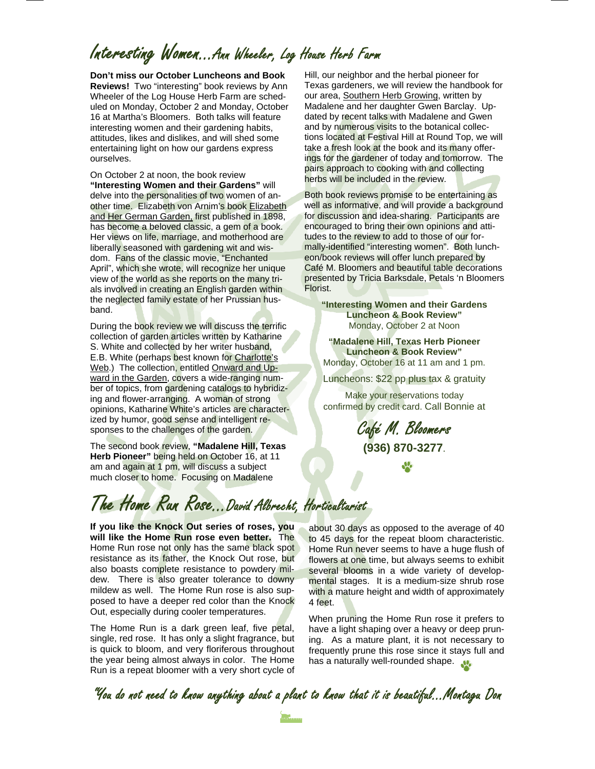## Interesting Women...Ann Wheeler, Log House Herb Farm

**Don't miss our October Luncheons and Book Reviews!** Two "interesting" book reviews by Ann Wheeler of the Log House Herb Farm are scheduled on Monday, October 2 and Monday, October 16 at Martha's Bloomers. Both talks will feature interesting women and their gardening habits, attitudes, likes and dislikes, and will shed some entertaining light on how our gardens express ourselves.

On October 2 at noon, the book review **"Interesting Women and their Gardens"** will delve into the personalities of two women of another time. Elizabeth von Arnim's book Elizabeth and Her German Garden, first published in 1898, has become a beloved classic, a gem of a book. Her views on life, marriage, and motherhood are liberally seasoned with gardening wit and wisdom. Fans of the classic movie, "Enchanted April", which she wrote, will recognize her unique view of the world as she reports on the many trials involved in creating an English garden within the neglected family estate of her Prussian husband.

During the book review we will discuss the terrific collection of garden articles written by Katharine S. White and collected by her writer husband, E.B. White (perhaps best known for Charlotte's Web.) The collection, entitled Onward and Upward in the Garden, covers a wide-ranging number of topics, from gardening catalogs to hybridizing and flower-arranging. A woman of strong opinions, Katharine White's articles are characterized by humor, good sense and intelligent responses to the challenges of the garden.

The second book review, **"Madalene Hill, Texas Herb Pioneer"** being held on October 16, at 11 am and again at 1 pm, will discuss a subject much closer to home. Focusing on Madalene

The Home Run Rose...David Albrecht, Horticulturist

**If you like the Knock Out series of roses, you will like the Home Run rose even better.** The Home Run rose not only has the same black spot resistance as its father, the Knock Out rose, but also boasts complete resistance to powdery mildew. There is also greater tolerance to downy mildew as well. The Home Run rose is also supposed to have a deeper red color than the Knock Out, especially during cooler temperatures.

The Home Run is a dark green leaf, five petal, single, red rose. It has only a slight fragrance, but is quick to bloom, and very floriferous throughout the year being almost always in color. The Home Run is a repeat bloomer with a very short cycle of

Hill, our neighbor and the herbal pioneer for Texas gardeners, we will review the handbook for our area, Southern Herb Growing, written by Madalene and her daughter Gwen Barclay. Updated by recent talks with Madalene and Gwen and by numerous visits to the botanical collections located at Festival Hill at Round Top, we will take a fresh look at the book and its many offerings for the gardener of today and tomorrow. The pairs approach to cooking with and collecting herbs will be included in the review.

Both book reviews promise to be entertaining as well as informative, and will provide a background for discussion and idea-sharing. Participants are encouraged to bring their own opinions and attitudes to the review to add to those of our formally-identified "interesting women". Both luncheon/book reviews will offer lunch prepared by Café M. Bloomers and beautiful table decorations presented by Tricia Barksdale, Petals 'n Bloomers Florist.

**"Interesting Women and their Gardens Luncheon & Book Review"**  Monday, October 2 at Noon

**"Madalene Hill, Texas Herb Pioneer Luncheon & Book Review"**  Monday, October 16 at 11 am and 1 pm.

Luncheons: \$22 pp plus tax & gratuity

Make your reservations today confirmed by credit card. Call Bonnie at

> Café M. Bloomers **(936) 870-3277**.

about 30 days as opposed to the average of 40 to 45 days for the repeat bloom characteristic. Home Run never seems to have a huge flush of flowers at one time, but always seems to exhibit several blooms in a wide variety of developmental stages. It is a medium-size shrub rose with a mature height and width of approximately 4 feet.

When pruning the Home Run rose it prefers to have a light shaping over a heavy or deep pruning. As a mature plant, it is not necessary to frequently prune this rose since it stays full and has a naturally well-rounded shape.

"You do not need to know anything about a plant to know that it is beautiful...Montagu Don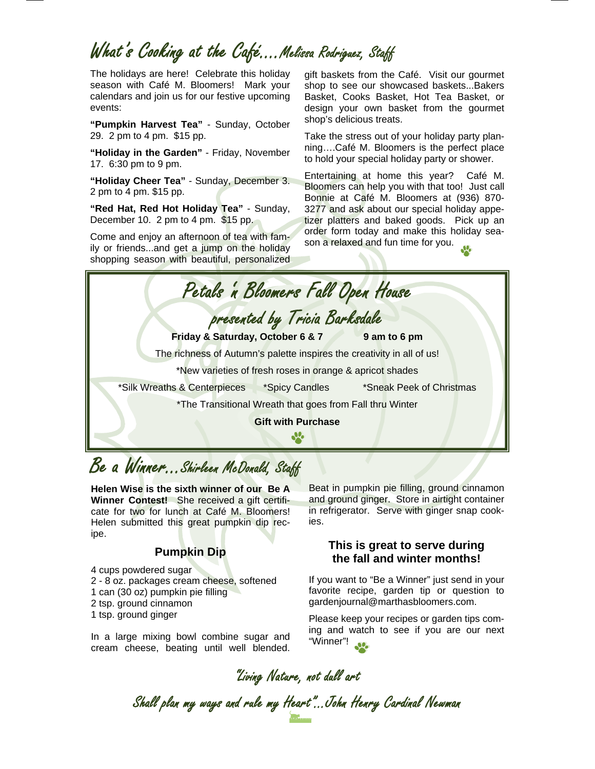## What's Cooking at the Café….Melissa Rodriguez, Staff

The holidays are here! Celebrate this holiday season with Café M. Bloomers! Mark your calendars and join us for our festive upcoming events:

**"Pumpkin Harvest Tea"** - Sunday, October 29. 2 pm to 4 pm. \$15 pp.

**"Holiday in the Garden"** - Friday, November 17. 6:30 pm to 9 pm.

**"Holiday Cheer Tea"** - Sunday, December 3. 2 pm to 4 pm. \$15 pp.

**"Red Hat, Red Hot Holiday Tea"** - Sunday, December 10. 2 pm to 4 pm. \$15 pp.

Come and enjoy an afternoon of tea with family or friends...and get a jump on the holiday shopping season with beautiful, personalized

gift baskets from the Café. Visit our gourmet shop to see our showcased baskets...Bakers Basket, Cooks Basket, Hot Tea Basket, or design your own basket from the gourmet shop's delicious treats.

Take the stress out of your holiday party planning….Café M. Bloomers is the perfect place to hold your special holiday party or shower.

Entertaining at home this year? Café M. Bloomers can help you with that too! Just call Bonnie at Café M. Bloomers at (936) 870- 3277 and ask about our special holiday appetizer platters and baked goods. Pick up an order form today and make this holiday season a relaxed and fun time for you.



# Be a Winner...Shirleen McDonald, Staff

**Helen Wise is the sixth winner of our Be A Winner Contest!** She received a gift certificate for two for lunch at Café M. Bloomers! Helen submitted this great pumpkin dip recipe.

#### **Pumpkin Dip**

4 cups powdered sugar

- 2 8 oz. packages cream cheese, softened
- 1 can (30 oz) pumpkin pie filling
- 2 tsp. ground cinnamon
- 1 tsp. ground ginger

In a large mixing bowl combine sugar and cream cheese, beating until well blended.

Beat in pumpkin pie filling, ground cinnamon and ground ginger. Store in airtight container in refrigerator. Serve with ginger snap cookies.

#### **This is great to serve during the fall and winter months!**

If you want to "Be a Winner" just send in your favorite recipe, garden tip or question to gardenjournal@marthasbloomers.com.

Please keep your recipes or garden tips coming and watch to see if you are our next "Winner"!  $\overline{\mathbf{0}}$ 

"Living Nature, not dull art

Shall plan my ways and rule my Heart"...John Henry Cardinal Newman